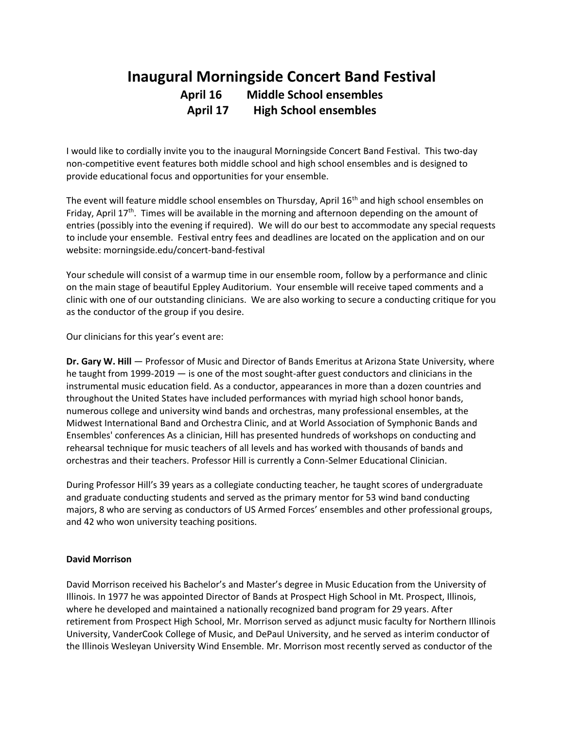## **Inaugural Morningside Concert Band Festival April 16 Middle School ensembles April 17 High School ensembles**

I would like to cordially invite you to the inaugural Morningside Concert Band Festival. This two-day non-competitive event features both middle school and high school ensembles and is designed to provide educational focus and opportunities for your ensemble.

The event will feature middle school ensembles on Thursday, April 16<sup>th</sup> and high school ensembles on Friday, April 17<sup>th</sup>. Times will be available in the morning and afternoon depending on the amount of entries (possibly into the evening if required). We will do our best to accommodate any special requests to include your ensemble. Festival entry fees and deadlines are located on the application and on our website: morningside.edu/concert-band-festival

Your schedule will consist of a warmup time in our ensemble room, follow by a performance and clinic on the main stage of beautiful Eppley Auditorium. Your ensemble will receive taped comments and a clinic with one of our outstanding clinicians. We are also working to secure a conducting critique for you as the conductor of the group if you desire.

Our clinicians for this year's event are:

**Dr. Gary W. Hill** — Professor of Music and Director of Bands Emeritus at Arizona State University, where he taught from 1999-2019 — is one of the most sought-after guest conductors and clinicians in the instrumental music education field. As a conductor, appearances in more than a dozen countries and throughout the United States have included performances with myriad high school honor bands, numerous college and university wind bands and orchestras, many professional ensembles, at the Midwest International Band and Orchestra Clinic, and at World Association of Symphonic Bands and Ensembles' conferences As a clinician, Hill has presented hundreds of workshops on conducting and rehearsal technique for music teachers of all levels and has worked with thousands of bands and orchestras and their teachers. Professor Hill is currently a Conn-Selmer Educational Clinician.

During Professor Hill's 39 years as a collegiate conducting teacher, he taught scores of undergraduate and graduate conducting students and served as the primary mentor for 53 wind band conducting majors, 8 who are serving as conductors of US Armed Forces' ensembles and other professional groups, and 42 who won university teaching positions.

## **David Morrison**

David Morrison received his Bachelor's and Master's degree in Music Education from the University of Illinois. In 1977 he was appointed Director of Bands at Prospect High School in Mt. Prospect, Illinois, where he developed and maintained a nationally recognized band program for 29 years. After retirement from Prospect High School, Mr. Morrison served as adjunct music faculty for Northern Illinois University, VanderCook College of Music, and DePaul University, and he served as interim conductor of the Illinois Wesleyan University Wind Ensemble. Mr. Morrison most recently served as conductor of the